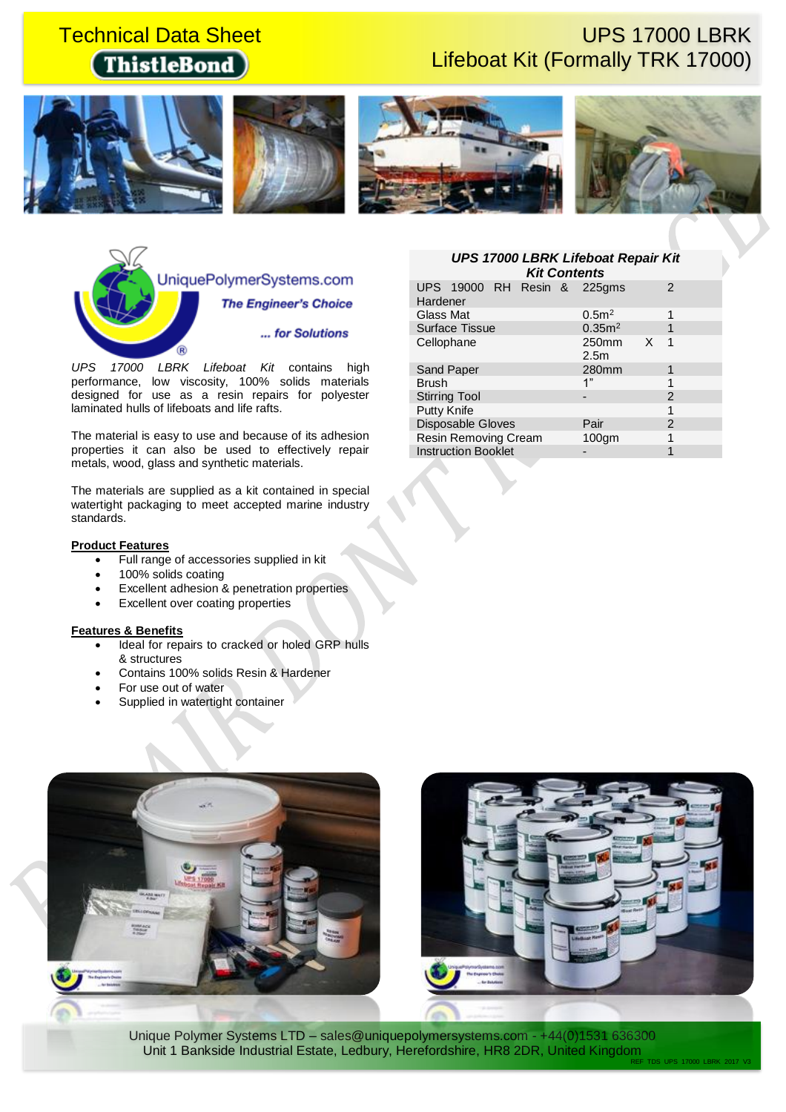# **ThistleBond**

# **Technical Data Sheet Contract Contract Contract Contract Contract Contract Contract Contract Contract Contract Contract Contract Contract Contract Contract Contract Contract Contract Contract Contract Contract Contract Co** Lifeboat Kit (Formally TRK 17000)











*UPS 17000 LBRK Lifeboat Kit* contains high performance, low viscosity, 100% solids materials designed for use as a resin repairs for polyester laminated hulls of lifeboats and life rafts.

The material is easy to use and because of its adhesion properties it can also be used to effectively repair metals, wood, glass and synthetic materials.

The materials are supplied as a kit contained in special watertight packaging to meet accepted marine industry standards.

## **Product Features**

- Full range of accessories supplied in kit
- 100% solids coating
- Excellent adhesion & penetration properties
- Excellent over coating properties

## **Features & Benefits**

- Ideal for repairs to cracked or holed GRP hulls & structures
- Contains 100% solids Resin & Hardener
- For use out of water
- Supplied in watertight container

## *UPS 17000 LBRK Lifeboat Repair Kit Kit Contents*

| UPS 19000 RH Resin & 225gms<br>Hardener |  |                           |   |               |
|-----------------------------------------|--|---------------------------|---|---------------|
| Glass Mat                               |  | 0.5 <sup>2</sup>          |   |               |
| <b>Surface Tissue</b>                   |  | 0.35m <sup>2</sup>        |   |               |
| Cellophane                              |  | 250mm<br>2.5 <sub>m</sub> | X | 1             |
| Sand Paper                              |  | 280mm                     |   |               |
| <b>Brush</b>                            |  | 1"                        |   |               |
| <b>Stirring Tool</b>                    |  |                           |   | 2             |
| Putty Knife                             |  |                           |   | 1             |
| Disposable Gloves                       |  | Pair                      |   | $\mathcal{P}$ |
| <b>Resin Removing Cream</b>             |  | $100$ qm                  |   |               |
| <b>Instruction Booklet</b>              |  |                           |   |               |



Unique Polymer Systems LTD - sales@uniquepolymersystems.com - +44(0)1531 636300 Unit 1 Bankside Industrial Estate, Ledbury, Herefordshire, HR8 2DR, United Kingdom REF\_TDS\_UPS\_17000\_LBRK\_2017\_V3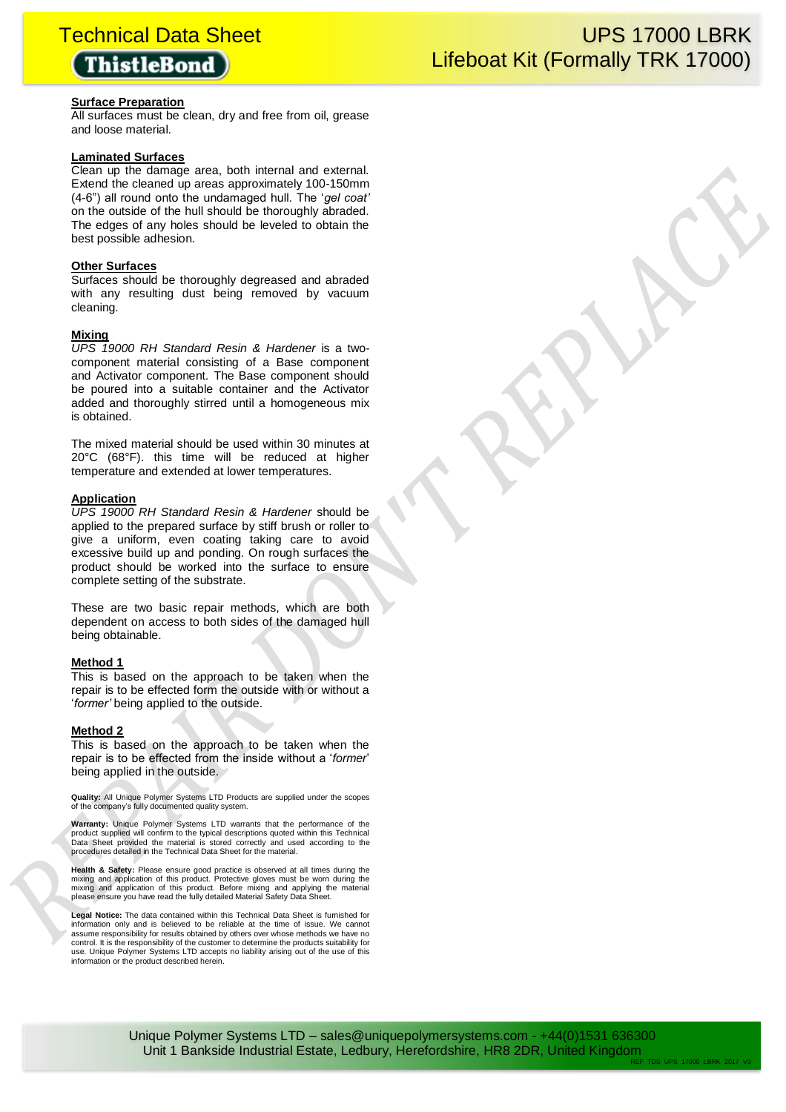## **ThistleBond**

## **Surface Preparation**

All surfaces must be clean, dry and free from oil, grease and loose material.

## **Laminated Surfaces**

Clean up the damage area, both internal and external. Extend the cleaned up areas approximately 100-150mm (4-6") all round onto the undamaged hull. The '*gel coat'* on the outside of the hull should be thoroughly abraded. The edges of any holes should be leveled to obtain the best possible adhesion.

## **Other Surfaces**

Surfaces should be thoroughly degreased and abraded with any resulting dust being removed by vacuum cleaning.

## **Mixing**

*UPS 19000 RH Standard Resin & Hardener* is a twocomponent material consisting of a Base component and Activator component. The Base component should be poured into a suitable container and the Activator added and thoroughly stirred until a homogeneous mix is obtained.

The mixed material should be used within 30 minutes at 20°C (68°F). this time will be reduced at higher temperature and extended at lower temperatures.

## **Application**

*UPS 19000 RH Standard Resin & Hardener* should be applied to the prepared surface by stiff brush or roller to give a uniform, even coating taking care to avoid excessive build up and ponding. On rough surfaces the product should be worked into the surface to ensure complete setting of the substrate.

These are two basic repair methods, which are both dependent on access to both sides of the damaged hull being obtainable.

## **Method 1**

This is based on the approach to be taken when the repair is to be effected form the outside with or without a '*former'* being applied to the outside.

## **Method 2**

This is based on the approach to be taken when the repair is to be effected from the inside without a '*former*' being applied in the outside.

**Quality:** All Unique Polymer Systems LTD Products are supplied under the scopes of the company's fully documented quality system.

**Warranty:** Unique Polymer Systems LTD warrants that the performance of the product supplied will confirm to the typical descriptions quoted within this Technical Data Sheet provided the material is stored correctly and used according to the procedures detailed in the Technical Data Sheet for the material.

**Health & Safety:** Please ensure good practice is observed at all times during the mixing and application of this product. Protective gloves must be worn during the mixing and application of this product. Before mixing and applying the material please ensure you have read the fully detailed Material Safety Data Sheet.

**Legal Notice:** The data contained within this Technical Data Sheet is furnished for information only and is believed to be reliable at the time of issue. We cannot assume responsibility for results obtained by others over whose methods we have no control. It is the responsibility of the customer to determine the products suitability for use. Unique Polymer Systems LTD accepts no liability arising out of the use of this information or the product described herein.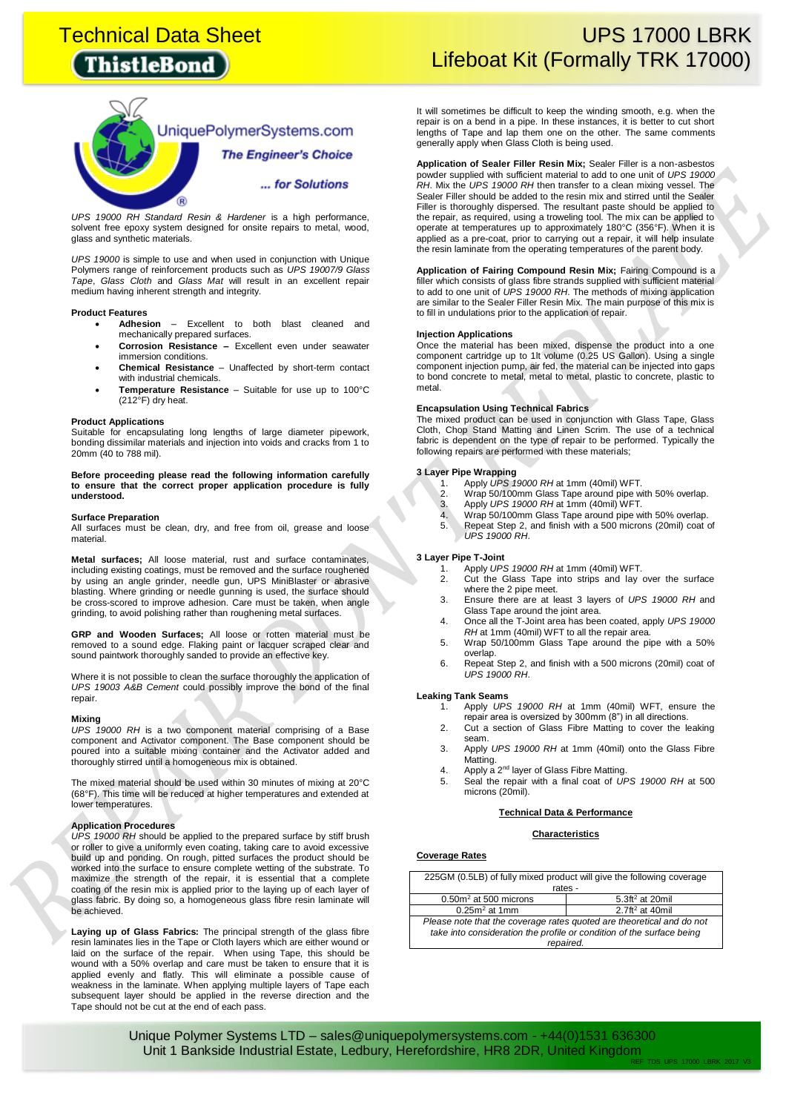# **ThistleBond**



*UPS 19000 RH Standard Resin & Hardener* is a high performance, solvent free epoxy system designed for onsite repairs to metal, wood, glass and synthetic materials.

*UPS 19000* is simple to use and when used in conjunction with Unique Polymers range of reinforcement products such as *UPS 19007/9 Glass Tape*, *Glass Cloth* and *Glass Mat* will result in an excellent repair medium having inherent strength and integrity.

#### **Product Features**

- **Adhesion** Excellent to both blast cleaned and mechanically prepared surfaces.
- **Corrosion Resistance –** Excellent even under seawater immersion conditions.
- **Chemical Resistance** Unaffected by short-term contact with industrial chemicals.
- **Temperature Resistance** Suitable for use up to 100°C (212°F) dry heat.

#### **Product Applications**

Suitable for encapsulating long lengths of large diameter pipework, bonding dissimilar materials and injection into voids and cracks from 1 to 20mm (40 to 788 mil).

**Before proceeding please read the following information carefully to ensure that the correct proper application procedure is fully understood.**

#### **Surface Preparation**

All surfaces must be clean, dry, and free from oil, grease and loose material.

**Metal surfaces;** All loose material, rust and surface contaminates, including existing coatings, must be removed and the surface roughened by using an angle grinder, needle gun, UPS MiniBlaster or abrasive blasting. Where grinding or needle gunning is used, the surface should be cross-scored to improve adhesion. Care must be taken, when angle grinding, to avoid polishing rather than roughening metal surfaces.

**GRP and Wooden Surfaces;** All loose or rotten material must be removed to a sound edge. Flaking paint or lacquer scraped clear and sound paintwork thoroughly sanded to provide an effective key.

Where it is not possible to clean the surface thoroughly the application of *UPS 19003 A&B Cement* could possibly improve the bond of the final repair.

#### **Mixing**

*UPS 19000 RH* is a two component material comprising of a Base component and Activator component. The Base component should be poured into a suitable mixing container and the Activator added and thoroughly stirred until a homogeneous mix is obtained.

The mixed material should be used within 30 minutes of mixing at 20°C (68°F). This time will be reduced at higher temperatures and extended at lower temperatures.

#### **Application Procedures**

*UPS 19000 RH* should be applied to the prepared surface by stiff brush or roller to give a uniformly even coating, taking care to avoid excessive build up and ponding. On rough, pitted surfaces the product should be worked into the surface to ensure complete wetting of the substrate. To maximize the strength of the repair, it is essential that a complete coating of the resin mix is applied prior to the laying up of each layer of glass fabric. By doing so, a homogeneous glass fibre resin laminate will be achieved.

**Laying up of Glass Fabrics:** The principal strength of the glass fibre resin laminates lies in the Tape or Cloth layers which are either wound or laid on the surface of the repair. When using Tape, this should be wound with a 50% overlap and care must be taken to ensure that it is applied evenly and flatly. This will eliminate a possible cause of weakness in the laminate. When applying multiple layers of Tape each subsequent layer should be applied in the reverse direction and the Tape should not be cut at the end of each pass.

## **Technical Data Sheet Network Control Control Control Control Control Control Control Control Control Control Co** Lifeboat Kit (Formally TRK 17000)

It will sometimes be difficult to keep the winding smooth, e.g. when the repair is on a bend in a pipe. In these instances, it is better to cut short lengths of Tape and lap them one on the other. The same comments generally apply when Glass Cloth is being used.

**Application of Sealer Filler Resin Mix;** Sealer Filler is a non-asbestos powder supplied with sufficient material to add to one unit of *UPS 19000 RH*. Mix the *UPS 19000 RH* then transfer to a clean mixing vessel. The Sealer Filler should be added to the resin mix and stirred until the Sealer Filler is thoroughly dispersed. The resultant paste should be applied to the repair, as required, using a troweling tool. The mix can be applied to operate at temperatures up to approximately 180°C (356°F). When it is applied as a pre-coat, prior to carrying out a repair, it will help insulate the resin laminate from the operating temperatures of the parent body.

**Application of Fairing Compound Resin Mix;** Fairing Compound is a filler which consists of glass fibre strands supplied with sufficient material to add to one unit of *UPS 19000 RH*. The methods of mixing application are similar to the Sealer Filler Resin Mix. The main purpose of this mix is to fill in undulations prior to the application of repair.

#### **Injection Applications**

Once the material has been mixed, dispense the product into a one component cartridge up to 1lt volume (0.25 US Gallon). Using a single component injection pump, air fed, the material can be injected into gaps to bond concrete to metal, metal to metal, plastic to concrete, plastic to metal.

## **Encapsulation Using Technical Fabrics**

The mixed product can be used in conjunction with Glass Tape, Glass Cloth, Chop Stand Matting and Linen Scrim. The use of a technical fabric is dependent on the type of repair to be performed. Typically the following repairs are performed with these materials;

- **3 Layer Pipe Wrapping** 1. Apply *UPS 19000 RH* at 1mm (40mil) WFT.
	- 2. Wrap 50/100mm Glass Tape around pipe with 50% overlap.<br>3. Apply UPS 19000 RH at 1mm (40mil) WFT.
	- 3. Apply *UPS 19000 RH* at 1mm (40mil) WFT.
	- 4. Wrap 50/100mm Glass Tape around pipe with 50% overlap.<br>5. Repeat Step 2. and finish with a 500 microns (20mil) coat 5. Repeat Step 2, and finish with a 500 microns (20mil) coat of *UPS 19000 RH*.

#### **3 Layer Pipe T-Joint**

- 1. Apply *UPS 19000 RH* at 1mm (40mil) WFT.
- 2. Cut the Glass Tape into strips and lay over the surface where the 2 pipe meet.
- 3. Ensure there are at least 3 layers of *UPS 19000 RH* and Glass Tape around the joint area.
- 4. Once all the T-Joint area has been coated, apply *UPS 19000 RH* at 1mm (40mil) WFT to all the repair area. 5. Wrap 50/100mm Glass Tape around the pipe with a 50%
- overlap.
- 6. Repeat Step 2, and finish with a 500 microns (20mil) coat of *UPS 19000 RH*.

#### **Leaking Tank Seams**

- 1. Apply *UPS 19000 RH* at 1mm (40mil) WFT, ensure the repair area is oversized by 300mm (8") in all directions.
- 2. Cut a section of Glass Fibre Matting to cover the leaking seam.
- 3. Apply *UPS 19000 RH* at 1mm (40mil) onto the Glass Fibre Matting.
- 4. Apply a 2<sup>nd</sup> layer of Glass Fibre Matting.
- 5. Seal the repair with a final coat of *UPS 19000 RH* at 500 microns (20mil).

#### **Technical Data & Performance**

#### **Characteristics**

#### **Coverage Rates**

| 225GM (0.5LB) of fully mixed product will give the following coverage |                             |  |
|-----------------------------------------------------------------------|-----------------------------|--|
|                                                                       | rates -                     |  |
| $0.50m2$ at 500 microns                                               | 5.3ft <sup>2</sup> at 20mil |  |
| $0.25m2$ at 1mm                                                       | 2.7ft <sup>2</sup> at 40mil |  |
| Please note that the coverage rates quoted are theoretical and do not |                             |  |
| take into consideration the profile or condition of the surface being |                             |  |

*repaired.*

Unique Polymer Systems LTD - sales@uniquepolymersystems.com - +44(0)1531 636300 Unit 1 Bankside Industrial Estate, Ledbury, Herefordshire, HR8 2DR, United Kingdom